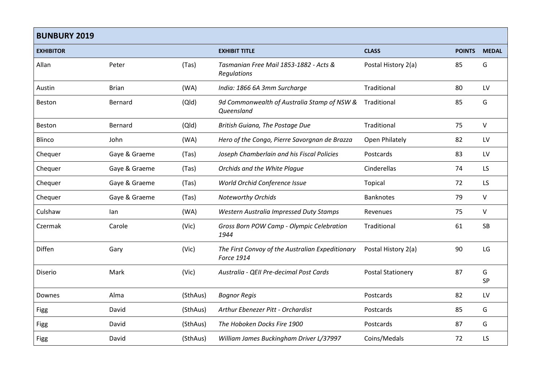| <b>BUNBURY 2019</b> |               |          |                                                                |                          |               |              |
|---------------------|---------------|----------|----------------------------------------------------------------|--------------------------|---------------|--------------|
| <b>EXHIBITOR</b>    |               |          | <b>EXHIBIT TITLE</b>                                           | <b>CLASS</b>             | <b>POINTS</b> | <b>MEDAL</b> |
| Allan               | Peter         | (Tas)    | Tasmanian Free Mail 1853-1882 - Acts &<br>Regulations          | Postal History 2(a)      | 85            | G            |
| Austin              | <b>Brian</b>  | (WA)     | India: 1866 6A 3mm Surcharge                                   | Traditional              | 80            | LV           |
| Beston              | Bernard       | (Q d)    | 9d Commonwealth of Australia Stamp of NSW &<br>Queensland      | Traditional              | 85            | G            |
| Beston              | Bernard       | (Q d)    | British Guiana, The Postage Due                                | Traditional              | 75            | $\vee$       |
| Blinco              | John          | (WA)     | Hero of the Congo, Pierre Savorgnan de Brazza                  | Open Philately           | 82            | LV           |
| Chequer             | Gaye & Graeme | (Tas)    | Joseph Chamberlain and his Fiscal Policies                     | Postcards                | 83            | LV           |
| Chequer             | Gaye & Graeme | (Tas)    | Orchids and the White Plaque                                   | Cinderellas              | 74            | <b>LS</b>    |
| Chequer             | Gaye & Graeme | (Tas)    | World Orchid Conference Issue                                  | Topical                  | 72            | LS           |
| Chequer             | Gaye & Graeme | (Tas)    | <b>Noteworthy Orchids</b>                                      | <b>Banknotes</b>         | 79            | $\vee$       |
| Culshaw             | lan           | (WA)     | Western Australia Impressed Duty Stamps                        | Revenues                 | 75            | $\vee$       |
| Czermak             | Carole        | (Vic)    | Gross Born POW Camp - Olympic Celebration<br>1944              | Traditional              | 61            | <b>SB</b>    |
| Diffen              | Gary          | (Vic)    | The First Convoy of the Australian Expeditionary<br>Force 1914 | Postal History 2(a)      | 90            | LG           |
| Diserio             | Mark          | (Vic)    | Australia - QEII Pre-decimal Post Cards                        | <b>Postal Stationery</b> | 87            | G<br>SP      |
| Downes              | Alma          | (SthAus) | <b>Bognor Regis</b>                                            | Postcards                | 82            | LV           |
| Figg                | David         | (SthAus) | Arthur Ebenezer Pitt - Orchardist                              | Postcards                | 85            | G            |
| <b>Figg</b>         | David         | (SthAus) | The Hoboken Docks Fire 1900                                    | Postcards                | 87            | G            |
| Figg                | David         | (SthAus) | William James Buckingham Driver L/37997                        | Coins/Medals             | 72            | LS           |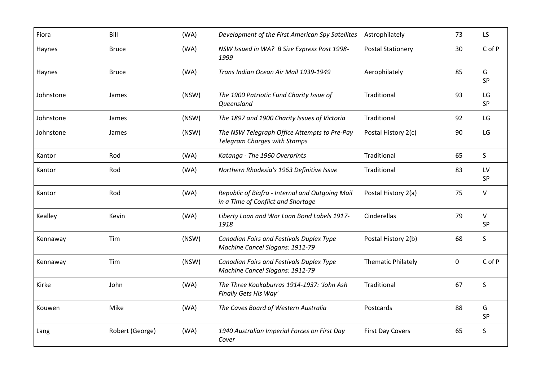| Fiora     | Bill            | (WA)  | Development of the First American Spy Satellites                                      | Astrophilately            | 73          | LS                  |
|-----------|-----------------|-------|---------------------------------------------------------------------------------------|---------------------------|-------------|---------------------|
| Haynes    | <b>Bruce</b>    | (WA)  | NSW Issued in WA? B Size Express Post 1998-<br>1999                                   | <b>Postal Stationery</b>  | 30          | C of P              |
| Haynes    | <b>Bruce</b>    | (WA)  | Trans Indian Ocean Air Mail 1939-1949                                                 | Aerophilately             | 85          | G<br>SP             |
| Johnstone | James           | (NSW) | The 1900 Patriotic Fund Charity Issue of<br>Queensland                                | Traditional               | 93          | LG<br>SP            |
| Johnstone | James           | (NSW) | The 1897 and 1900 Charity Issues of Victoria                                          | Traditional               | 92          | LG                  |
| Johnstone | James           | (NSW) | The NSW Telegraph Office Attempts to Pre-Pay<br><b>Telegram Charges with Stamps</b>   | Postal History 2(c)       | 90          | LG                  |
| Kantor    | Rod             | (WA)  | Katanga - The 1960 Overprints                                                         | Traditional               | 65          | S                   |
| Kantor    | Rod             | (WA)  | Northern Rhodesia's 1963 Definitive Issue                                             | Traditional               | 83          | LV<br>SP            |
| Kantor    | Rod             | (WA)  | Republic of Biafra - Internal and Outgoing Mail<br>in a Time of Conflict and Shortage | Postal History 2(a)       | 75          | $\vee$              |
| Kealley   | Kevin           | (WA)  | Liberty Loan and War Loan Bond Labels 1917-<br>1918                                   | Cinderellas               | 79          | $\vee$<br><b>SP</b> |
| Kennaway  | Tim             | (NSW) | Canadian Fairs and Festivals Duplex Type<br>Machine Cancel Slogans: 1912-79           | Postal History 2(b)       | 68          | S                   |
| Kennaway  | Tim             | (NSW) | Canadian Fairs and Festivals Duplex Type<br>Machine Cancel Slogans: 1912-79           | <b>Thematic Philately</b> | $\mathbf 0$ | C of P              |
| Kirke     | John            | (WA)  | The Three Kookaburras 1914-1937: 'John Ash<br>Finally Gets His Way'                   | Traditional               | 67          | S                   |
| Kouwen    | Mike            | (WA)  | The Caves Board of Western Australia                                                  | Postcards                 | 88          | G<br>SP             |
| Lang      | Robert (George) | (WA)  | 1940 Australian Imperial Forces on First Day<br>Cover                                 | <b>First Day Covers</b>   | 65          | S.                  |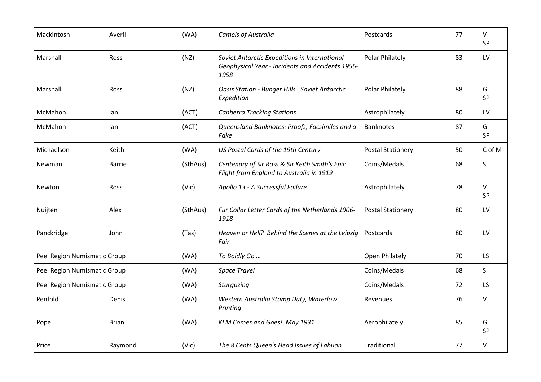| Mackintosh                   | Averil        | (WA)     | <b>Camels of Australia</b>                                                                                | Postcards                | 77 | V<br>SP      |
|------------------------------|---------------|----------|-----------------------------------------------------------------------------------------------------------|--------------------------|----|--------------|
| Marshall                     | Ross          | (NZ)     | Soviet Antarctic Expeditions in International<br>Geophysical Year - Incidents and Accidents 1956-<br>1958 | Polar Philately          | 83 | LV           |
| Marshall                     | Ross          | (NZ)     | Oasis Station - Bunger Hills. Soviet Antarctic<br>Expedition                                              | Polar Philately          | 88 | G<br>SP      |
| McMahon                      | lan           | (ACT)    | <b>Canberra Tracking Stations</b>                                                                         | Astrophilately           | 80 | LV           |
| McMahon                      | lan           | (ACT)    | Queensland Banknotes: Proofs, Facsimiles and a<br>Fake                                                    | <b>Banknotes</b>         | 87 | G<br>SP      |
| Michaelson                   | Keith         | (WA)     | US Postal Cards of the 19th Century                                                                       | <b>Postal Stationery</b> | 50 | C of M       |
| Newman                       | <b>Barrie</b> | (SthAus) | Centenary of Sir Ross & Sir Keith Smith's Epic<br>Flight from England to Australia in 1919                | Coins/Medals             | 68 | S            |
| Newton                       | Ross          | (Vic)    | Apollo 13 - A Successful Failure                                                                          | Astrophilately           | 78 | $\vee$<br>SP |
| Nuijten                      | Alex          | (SthAus) | Fur Collar Letter Cards of the Netherlands 1906-<br>1918                                                  | <b>Postal Stationery</b> | 80 | LV           |
| Panckridge                   | John          | (Tas)    | Heaven or Hell? Behind the Scenes at the Leipzig<br>Fair                                                  | Postcards                | 80 | LV           |
| Peel Region Numismatic Group |               | (WA)     | To Boldly Go                                                                                              | Open Philately           | 70 | <b>LS</b>    |
| Peel Region Numismatic Group |               | (WA)     | <b>Space Travel</b>                                                                                       | Coins/Medals             | 68 | S.           |
| Peel Region Numismatic Group |               | (WA)     | <b>Stargazing</b>                                                                                         | Coins/Medals             | 72 | LS           |
| Penfold                      | Denis         | (WA)     | Western Australia Stamp Duty, Waterlow<br>Printing                                                        | Revenues                 | 76 | $\sf V$      |
| Pope                         | <b>Brian</b>  | (WA)     | KLM Comes and Goes! May 1931                                                                              | Aerophilately            | 85 | G<br>SP      |
| Price                        | Raymond       | (Vic)    | The 8 Cents Queen's Head Issues of Labuan                                                                 | Traditional              | 77 | $\vee$       |